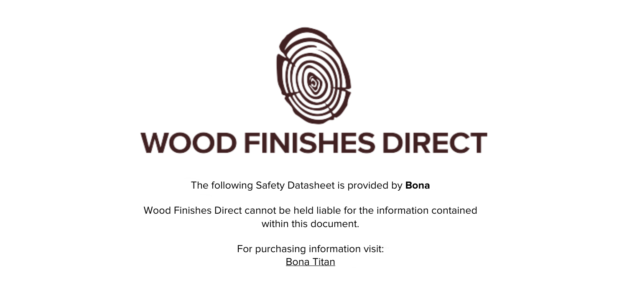

The following Safety Datasheet is provided by **Bona**

Wood Finishes Direct cannot be held liable for the information contained within this document

> For purchasing information visit: [Bona Titan](https://www.wood-finishes-direct.com/product/bona-titan)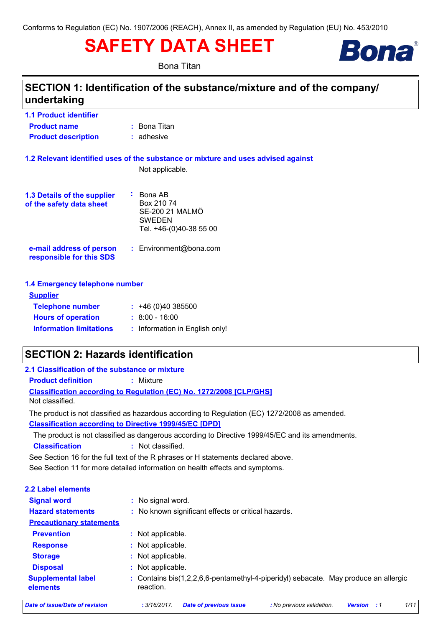# **SAFETY DATA SHEET**

**Bona Titan** 



# SECTION 1: Identification of the substance/mixture and of the company/ undertaking

| <b>1.1 Product identifier</b> |                |
|-------------------------------|----------------|
| <b>Product name</b>           | $:$ Bona Titan |
| <b>Product description</b>    | $:$ adhesive   |

#### 1.2 Relevant identified uses of the substance or mixture and uses advised against

Not applicable.

| <b>1.3 Details of the supplier</b><br>of the safety data sheet | : Bona AB<br>Box 210 74<br>SE-200 21 MALMÖ<br><b>SWEDEN</b><br>Tel. +46-(0)40-38 55 00 |
|----------------------------------------------------------------|----------------------------------------------------------------------------------------|
| e-mail address of person<br>responsible for this SDS           | : Environment@bona.com                                                                 |

1.4 Emergency telephone number

| <b>Supplier</b>                |                                |
|--------------------------------|--------------------------------|
| <b>Telephone number</b>        | $: +46(0)40385500$             |
| <b>Hours of operation</b>      | $: 8:00 - 16:00$               |
| <b>Information limitations</b> | : Information in English only! |
|                                |                                |

# **SECTION 2: Hazards identification**

| 2.1 Classification of the substance or mixture |                                                                                                  |
|------------------------------------------------|--------------------------------------------------------------------------------------------------|
| <b>Product definition</b>                      | : Mixture                                                                                        |
| Not classified.                                | <b>Classification according to Regulation (EC) No. 1272/2008 [CLP/GHS]</b>                       |
|                                                | The product is not classified as hazardous according to Regulation (EC) 1272/2008 as amended.    |
|                                                | <b>Classification according to Directive 1999/45/EC [DPD]</b>                                    |
|                                                | The product is not classified as dangerous according to Directive 1999/45/EC and its amendments. |
| <b>Classification</b>                          | : Not classified.                                                                                |
|                                                | See Section 16 for the full text of the R phrases or H statements declared above.                |
|                                                | See Section 11 for more detailed information on health effects and symptoms.                     |
| <b>2.2 Label elements</b>                      |                                                                                                  |
| <b>Signal word</b>                             | : No signal word.                                                                                |

| <b>Signal word</b>                    | . No signal word.                                                                                |
|---------------------------------------|--------------------------------------------------------------------------------------------------|
| <b>Hazard statements</b>              | : No known significant effects or critical hazards.                                              |
| <b>Precautionary statements</b>       |                                                                                                  |
| <b>Prevention</b>                     | Not applicable.<br>÷.                                                                            |
| <b>Response</b>                       | Not applicable.<br>÷.                                                                            |
| <b>Storage</b>                        | Not applicable.<br>÷.                                                                            |
| <b>Disposal</b>                       | Not applicable.<br>÷                                                                             |
| <b>Supplemental label</b><br>elements | : Contains bis(1,2,2,6,6-pentamethyl-4-piperidyl) sebacate. May produce an allergic<br>reaction. |

**Date of issue/Date of revision** 

 $1/11$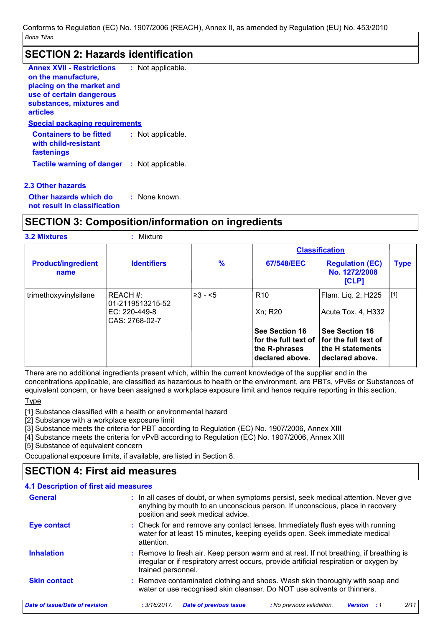# **SECTION 2: Hazards identification**

| <b>Annex XVII - Restrictions</b><br>on the manufacture,<br>placing on the market and<br>use of certain dangerous<br>substances, mixtures and<br>articles | : Not applicable.     |
|----------------------------------------------------------------------------------------------------------------------------------------------------------|-----------------------|
| <b>Special packaging requirements</b>                                                                                                                    |                       |
| <b>Containers to be fitted</b><br>with child-resistant<br>fastenings                                                                                     | Not applicable.       |
| <b>Tactile warning of danger</b>                                                                                                                         | Not applicable.<br>t. |
|                                                                                                                                                          |                       |

2.3 Other hazards Other hazards which do : None known.

not result in classification

# **SECTION 3: Composition/information on ingredients**

| <b>3.2 Mixtures</b>               | : Mixture                                                        |               |                                                                            |                                                                                      |             |
|-----------------------------------|------------------------------------------------------------------|---------------|----------------------------------------------------------------------------|--------------------------------------------------------------------------------------|-------------|
|                                   |                                                                  |               |                                                                            | <b>Classification</b>                                                                |             |
| <b>Product/ingredient</b><br>name | <b>Identifiers</b>                                               | $\frac{9}{6}$ | 67/548/EEC                                                                 | <b>Regulation (EC)</b><br>No. 1272/2008<br>[CLP]                                     | <b>Type</b> |
| trimethoxyvinylsilane             | IREACH #:<br>01-2119513215-52<br>EC: 220-449-8<br>CAS: 2768-02-7 | $\geq 3 - 5$  | R <sub>10</sub><br>Xn; R20                                                 | Flam. Liq. 2, H225<br>Acute Tox. 4, H332                                             | [1]         |
|                                   |                                                                  |               | See Section 16<br>for the full text of<br>the R-phrases<br>declared above. | See Section 16<br><b>for the full text of</b><br>the H statements<br>declared above. |             |

There are no additional ingredients present which, within the current knowledge of the supplier and in the concentrations applicable, are classified as hazardous to health or the environment, are PBTs, vPvBs or Substances of equivalent concern, or have been assigned a workplace exposure limit and hence require reporting in this section.

**Type** 

[1] Substance classified with a health or environmental hazard

[2] Substance with a workplace exposure limit

[3] Substance meets the criteria for PBT according to Regulation (EC) No. 1907/2006, Annex XIII

[4] Substance meets the criteria for vPvB according to Regulation (EC) No. 1907/2006, Annex XIII

[5] Substance of equivalent concern

Occupational exposure limits, if available, are listed in Section 8.

# **SECTION 4: First aid measures**

## 4.1 Description of first aid measures

| <b>General</b>                 | : In all cases of doubt, or when symptoms persist, seek medical attention. Never give<br>anything by mouth to an unconscious person. If unconscious, place in recovery<br>position and seek medical advice. |
|--------------------------------|-------------------------------------------------------------------------------------------------------------------------------------------------------------------------------------------------------------|
| <b>Eye contact</b>             | : Check for and remove any contact lenses. Immediately flush eyes with running<br>water for at least 15 minutes, keeping eyelids open. Seek immediate medical<br>attention.                                 |
| <b>Inhalation</b>              | : Remove to fresh air. Keep person warm and at rest. If not breathing, if breathing is<br>irregular or if respiratory arrest occurs, provide artificial respiration or oxygen by<br>trained personnel.      |
| <b>Skin contact</b>            | : Remove contaminated clothing and shoes. Wash skin thoroughly with soap and<br>water or use recognised skin cleanser. Do NOT use solvents or thinners.                                                     |
| Date of issue/Date of revision | 2/11<br><b>Date of previous issue</b><br>: No previous validation.<br>: 3/16/2017.<br><b>Version</b><br>- 11                                                                                                |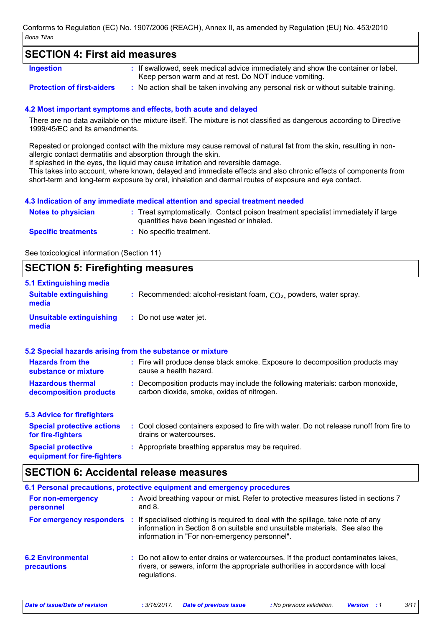# **SECTION 4: First aid measures**

**Ingestion** 

- : If swallowed, seek medical advice immediately and show the container or label. Keep person warm and at rest. Do NOT induce vomiting.
- **Protection of first-aiders**
- : No action shall be taken involving any personal risk or without suitable training.

## 4.2 Most important symptoms and effects, both acute and delayed

There are no data available on the mixture itself. The mixture is not classified as dangerous according to Directive 1999/45/EC and its amendments.

Repeated or prolonged contact with the mixture may cause removal of natural fat from the skin, resulting in nonallergic contact dermatitis and absorption through the skin.

If splashed in the eyes, the liquid may cause irritation and reversible damage.

This takes into account, where known, delayed and immediate effects and also chronic effects of components from short-term and long-term exposure by oral, inhalation and dermal routes of exposure and eve contact.

#### 4.3 Indication of any immediate medical attention and special treatment needed

| Notes to physician         | : Treat symptomatically. Contact poison treatment specialist immediately if large |
|----------------------------|-----------------------------------------------------------------------------------|
|                            | quantities have been ingested or inhaled.                                         |
| <b>Specific treatments</b> | : No specific treatment.                                                          |

See toxicological information (Section 11)

# **SECTION 5: Firefighting measures**

| 5.1 Extinguishing media                                   |                                                                                                                              |
|-----------------------------------------------------------|------------------------------------------------------------------------------------------------------------------------------|
| <b>Suitable extinguishing</b><br>media                    | : Recommended: alcohol-resistant foam, $CO2$ , powders, water spray.                                                         |
| <b>Unsuitable extinguishing</b><br>media                  | : Do not use water jet.                                                                                                      |
| 5.2 Special hazards arising from the substance or mixture |                                                                                                                              |
| <b>Hazards from the</b><br>substance or mixture           | : Fire will produce dense black smoke. Exposure to decomposition products may<br>cause a health hazard.                      |
| <b>Hazardous thermal</b><br>decomposition products        | : Decomposition products may include the following materials: carbon monoxide,<br>carbon dioxide, smoke, oxides of nitrogen. |
| <b>5.3 Advice for firefighters</b>                        |                                                                                                                              |
| <b>Special protective actions</b><br>for fire-fighters    | : Cool closed containers exposed to fire with water. Do not release runoff from fire to<br>drains or watercourses.           |
| <b>Special protective</b><br>equipment for fire-fighters  | : Appropriate breathing apparatus may be required.                                                                           |

# **SECTION 6: Accidental release measures**

|                                                | 6.1 Personal precautions, protective equipment and emergency procedures                                                                                                                                           |
|------------------------------------------------|-------------------------------------------------------------------------------------------------------------------------------------------------------------------------------------------------------------------|
| For non-emergency<br>personnel                 | : Avoid breathing vapour or mist. Refer to protective measures listed in sections 7<br>and $8.$                                                                                                                   |
| For emergency responders                       | : If specialised clothing is required to deal with the spillage, take note of any<br>information in Section 8 on suitable and unsuitable materials. See also the<br>information in "For non-emergency personnel". |
| <b>6.2 Environmental</b><br><b>precautions</b> | : Do not allow to enter drains or watercourses. If the product contaminates lakes,<br>rivers, or sewers, inform the appropriate authorities in accordance with local<br>regulations.                              |

 $3/11$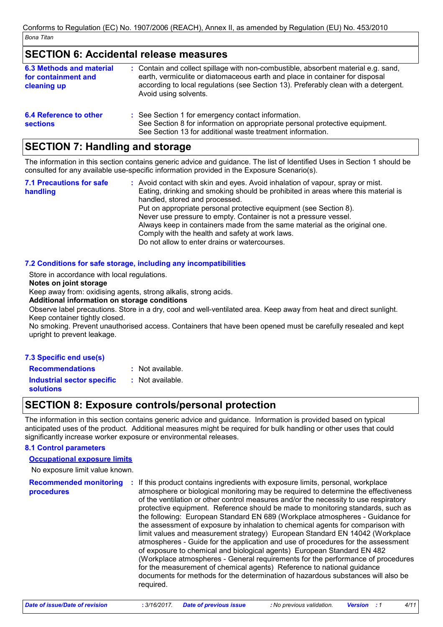# **SECTION 6: Accidental release measures**

| 6.3 Methods and material<br>for containment and<br>cleaning up | : Contain and collect spillage with non-combustible, absorbent material e.g. sand,<br>earth, vermiculite or diatomaceous earth and place in container for disposal<br>according to local regulations (see Section 13). Preferably clean with a detergent.<br>Avoid using solvents. |
|----------------------------------------------------------------|------------------------------------------------------------------------------------------------------------------------------------------------------------------------------------------------------------------------------------------------------------------------------------|
| 6.4 Reference to other<br><b>sections</b>                      | : See Section 1 for emergency contact information.<br>See Section 8 for information on appropriate personal protective equipment.<br>See Section 13 for additional waste treatment information.                                                                                    |

# **SECTION 7: Handling and storage**

The information in this section contains generic advice and guidance. The list of Identified Uses in Section 1 should be consulted for any available use-specific information provided in the Exposure Scenario(s).

| <b>7.1 Precautions for safe</b> | : Avoid contact with skin and eyes. Avoid inhalation of vapour, spray or mist.                                      |
|---------------------------------|---------------------------------------------------------------------------------------------------------------------|
| handling                        | Eating, drinking and smoking should be prohibited in areas where this material is<br>handled, stored and processed. |
|                                 | Put on appropriate personal protective equipment (see Section 8).                                                   |
|                                 | Never use pressure to empty. Container is not a pressure vessel.                                                    |
|                                 | Always keep in containers made from the same material as the original one.                                          |
|                                 | Comply with the health and safety at work laws.                                                                     |
|                                 | Do not allow to enter drains or watercourses.                                                                       |

## 7.2 Conditions for safe storage, including any incompatibilities

Store in accordance with local regulations.

Notes on joint storage

Keep away from: oxidising agents, strong alkalis, strong acids.

Additional information on storage conditions

Observe label precautions. Store in a dry, cool and well-ventilated area. Keep away from heat and direct sunlight. Keep container tightly closed.

No smoking. Prevent unauthorised access. Containers that have been opened must be carefully resealed and kept upright to prevent leakage.

## 7.3 Specific end use(s)

: Not available. **Recommendations** : Not available. **Industrial sector specific** solutions

# **SECTION 8: Exposure controls/personal protection**

The information in this section contains generic advice and quidance. Information is provided based on typical anticipated uses of the product. Additional measures might be required for bulk handling or other uses that could significantly increase worker exposure or environmental releases.

#### **8.1 Control parameters**

#### **Occupational exposure limits**

No exposure limit value known.

**Recommended monitoring** : If this product contains ingredients with exposure limits, personal, workplace atmosphere or biological monitoring may be required to determine the effectiveness procedures of the ventilation or other control measures and/or the necessity to use respiratory protective equipment. Reference should be made to monitoring standards, such as the following: European Standard EN 689 (Workplace atmospheres - Guidance for the assessment of exposure by inhalation to chemical agents for comparison with limit values and measurement strategy) European Standard EN 14042 (Workplace atmospheres - Guide for the application and use of procedures for the assessment of exposure to chemical and biological agents) European Standard EN 482 (Workplace atmospheres - General requirements for the performance of procedures for the measurement of chemical agents) Reference to national guidance documents for methods for the determination of hazardous substances will also be required.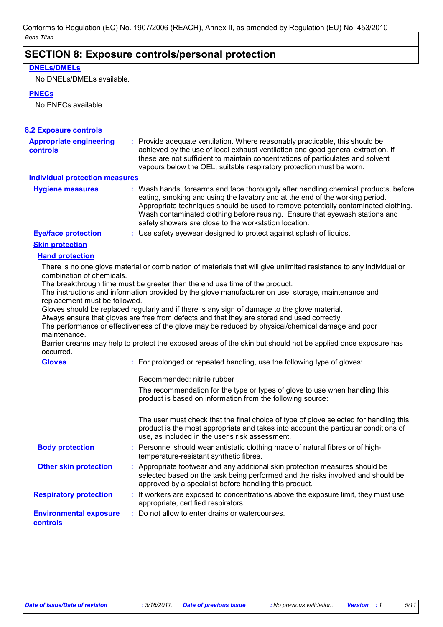# **SECTION 8: Exposure controls/personal protection**

## **DNELs/DMELs**

No DNELs/DMELs available.

#### **PNECs**

No PNECs available

| vapours below the OEL, suitable respiratory protection must be worn.                                                                                                                                                                                                                                                                                                                              |
|---------------------------------------------------------------------------------------------------------------------------------------------------------------------------------------------------------------------------------------------------------------------------------------------------------------------------------------------------------------------------------------------------|
| <b>Individual protection measures</b>                                                                                                                                                                                                                                                                                                                                                             |
| : Wash hands, forearms and face thoroughly after handling chemical products, before<br>eating, smoking and using the lavatory and at the end of the working period.<br>Appropriate techniques should be used to remove potentially contaminated clothing.<br>Wash contaminated clothing before reusing. Ensure that eyewash stations and<br>safety showers are close to the workstation location. |
| : Use safety eyewear designed to protect against splash of liquids.                                                                                                                                                                                                                                                                                                                               |
|                                                                                                                                                                                                                                                                                                                                                                                                   |
|                                                                                                                                                                                                                                                                                                                                                                                                   |
| There is no one glove material or combination of materials that will give unlimited resistance to any individual or                                                                                                                                                                                                                                                                               |

The breakthrough time must be greater than the end use time of the product.

The instructions and information provided by the glove manufacturer on use, storage, maintenance and replacement must be followed.

Gloves should be replaced regularly and if there is any sign of damage to the glove material.

Always ensure that gloves are free from defects and that they are stored and used correctly.

The performance or effectiveness of the glove may be reduced by physical/chemical damage and poor maintenance.

Barrier creams may help to protect the exposed areas of the skin but should not be applied once exposure has occurred.

| <b>Gloves</b>                                    | : For prolonged or repeated handling, use the following type of gloves:                                                                                                                                                         |  |
|--------------------------------------------------|---------------------------------------------------------------------------------------------------------------------------------------------------------------------------------------------------------------------------------|--|
|                                                  | Recommended: nitrile rubber                                                                                                                                                                                                     |  |
|                                                  | The recommendation for the type or types of glove to use when handling this<br>product is based on information from the following source:                                                                                       |  |
|                                                  | The user must check that the final choice of type of glove selected for handling this<br>product is the most appropriate and takes into account the particular conditions of<br>use, as included in the user's risk assessment. |  |
| <b>Body protection</b>                           | : Personnel should wear antistatic clothing made of natural fibres or of high-<br>temperature-resistant synthetic fibres.                                                                                                       |  |
| <b>Other skin protection</b>                     | : Appropriate footwear and any additional skin protection measures should be<br>selected based on the task being performed and the risks involved and should be<br>approved by a specialist before handling this product.       |  |
| <b>Respiratory protection</b>                    | : If workers are exposed to concentrations above the exposure limit, they must use<br>appropriate, certified respirators.                                                                                                       |  |
| <b>Environmental exposure</b><br><b>controls</b> | : Do not allow to enter drains or watercourses.                                                                                                                                                                                 |  |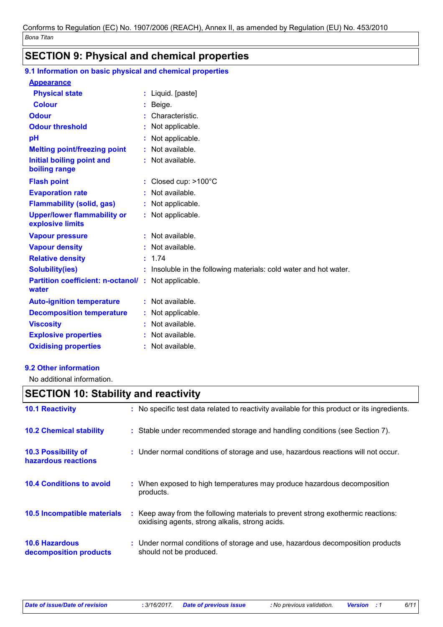# **SECTION 9: Physical and chemical properties**

# 9.1 Information on basic physical and chemical properties

# **Appearance**

| <b>Physical state</b>                                               |    | : Liquid. [paste]                                               |
|---------------------------------------------------------------------|----|-----------------------------------------------------------------|
| <b>Colour</b>                                                       |    | Beige.                                                          |
| <b>Odour</b>                                                        |    | Characteristic.                                                 |
| <b>Odour threshold</b>                                              | ÷. | Not applicable.                                                 |
| pH                                                                  |    | Not applicable.                                                 |
| <b>Melting point/freezing point</b>                                 |    | Not available.                                                  |
| <b>Initial boiling point and</b><br>boiling range                   |    | : Not available.                                                |
| <b>Flash point</b>                                                  |    | : Closed cup: $>100^{\circ}$ C                                  |
| <b>Evaporation rate</b>                                             |    | Not available.                                                  |
| <b>Flammability (solid, gas)</b>                                    |    | : Not applicable.                                               |
| <b>Upper/lower flammability or</b><br>explosive limits              |    | : Not applicable.                                               |
| <b>Vapour pressure</b>                                              |    | $:$ Not available.                                              |
| <b>Vapour density</b>                                               |    | Not available.                                                  |
| <b>Relative density</b>                                             |    | : 1.74                                                          |
| <b>Solubility(ies)</b>                                              | ÷. | Insoluble in the following materials: cold water and hot water. |
| <b>Partition coefficient: n-octanol/ :</b> Not applicable.<br>water |    |                                                                 |
| <b>Auto-ignition temperature</b>                                    |    | $:$ Not available.                                              |
| <b>Decomposition temperature</b>                                    |    | : Not applicable.                                               |
| <b>Viscosity</b>                                                    | ÷. | Not available.                                                  |
| <b>Explosive properties</b>                                         |    | $:$ Not available.                                              |
| <b>Oxidising properties</b>                                         |    | : Not available.                                                |

## 9.2 Other information

No additional information.

# **SECTION 10: Stability and reactivity**

| <b>10.1 Reactivity</b>                            | : No specific test data related to reactivity available for this product or its ingredients.                                        |
|---------------------------------------------------|-------------------------------------------------------------------------------------------------------------------------------------|
| <b>10.2 Chemical stability</b>                    | : Stable under recommended storage and handling conditions (see Section 7).                                                         |
| <b>10.3 Possibility of</b><br>hazardous reactions | : Under normal conditions of storage and use, hazardous reactions will not occur.                                                   |
| <b>10.4 Conditions to avoid</b>                   | : When exposed to high temperatures may produce hazardous decomposition<br>products.                                                |
| 10.5 Incompatible materials                       | : Keep away from the following materials to prevent strong exothermic reactions:<br>oxidising agents, strong alkalis, strong acids. |
| <b>10.6 Hazardous</b><br>decomposition products   | : Under normal conditions of storage and use, hazardous decomposition products<br>should not be produced.                           |

 $6/11$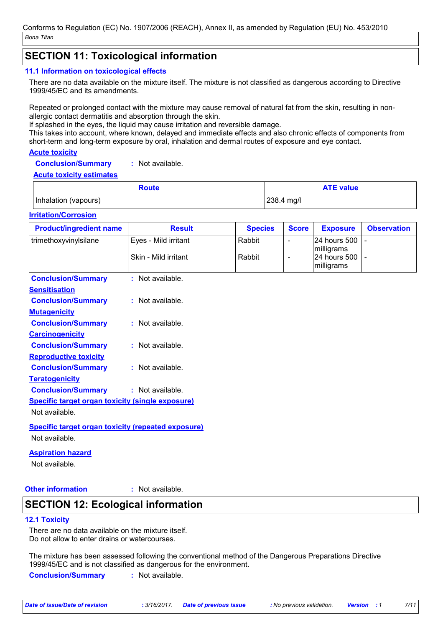# **SECTION 11: Toxicological information**

#### 11.1 Information on toxicological effects

There are no data available on the mixture itself. The mixture is not classified as dangerous according to Directive 1999/45/EC and its amendments.

Repeated or prolonged contact with the mixture may cause removal of natural fat from the skin, resulting in nonallergic contact dermatitis and absorption through the skin.

If splashed in the eyes, the liquid may cause irritation and reversible damage.

This takes into account, where known, delayed and immediate effects and also chronic effects of components from short-term and long-term exposure by oral, inhalation and dermal routes of exposure and eye contact.

#### **Acute toxicity**

: Not available. **Conclusion/Summary** 

#### **Acute toxicity estimates**

| Route                | <b>ATE value</b>       |
|----------------------|------------------------|
| Inhalation (vapours) | $ 238.4 \text{ mg}/I $ |

#### **Irritation/Corrosion**

| <b>Product/ingredient name</b>                          | <b>Result</b>                                             | <b>Species</b> | <b>Score</b>             | <b>Exposure</b>                          | <b>Observation</b> |
|---------------------------------------------------------|-----------------------------------------------------------|----------------|--------------------------|------------------------------------------|--------------------|
| trimethoxyvinylsilane                                   | Eyes - Mild irritant                                      | Rabbit         |                          | 24 hours 500                             |                    |
|                                                         | Skin - Mild irritant                                      | Rabbit         | $\overline{\phantom{a}}$ | milligrams<br>24 hours 500<br>milligrams |                    |
| <b>Conclusion/Summary</b>                               | : Not available.                                          |                |                          |                                          |                    |
| <b>Sensitisation</b>                                    |                                                           |                |                          |                                          |                    |
| <b>Conclusion/Summary</b>                               | $:$ Not available.                                        |                |                          |                                          |                    |
| <b>Mutagenicity</b>                                     |                                                           |                |                          |                                          |                    |
| <b>Conclusion/Summary</b>                               | : Not available.                                          |                |                          |                                          |                    |
| <b>Carcinogenicity</b>                                  |                                                           |                |                          |                                          |                    |
| <b>Conclusion/Summary</b>                               | $:$ Not available.                                        |                |                          |                                          |                    |
| <b>Reproductive toxicity</b>                            |                                                           |                |                          |                                          |                    |
| <b>Conclusion/Summary</b>                               | : Not available.                                          |                |                          |                                          |                    |
| <b>Teratogenicity</b>                                   |                                                           |                |                          |                                          |                    |
| <b>Conclusion/Summary</b>                               | : Not available.                                          |                |                          |                                          |                    |
| <b>Specific target organ toxicity (single exposure)</b> |                                                           |                |                          |                                          |                    |
| Not available.                                          |                                                           |                |                          |                                          |                    |
|                                                         | <b>Specific target organ toxicity (repeated exposure)</b> |                |                          |                                          |                    |
| Not available.                                          |                                                           |                |                          |                                          |                    |

## **Aspiration hazard**

Not available.

# **Other information**

: Not available.

# **SECTION 12: Ecological information**

#### **12.1 Toxicity**

There are no data available on the mixture itself. Do not allow to enter drains or watercourses.

The mixture has been assessed following the conventional method of the Dangerous Preparations Directive 1999/45/EC and is not classified as dangerous for the environment.

**Conclusion/Summary** : Not available.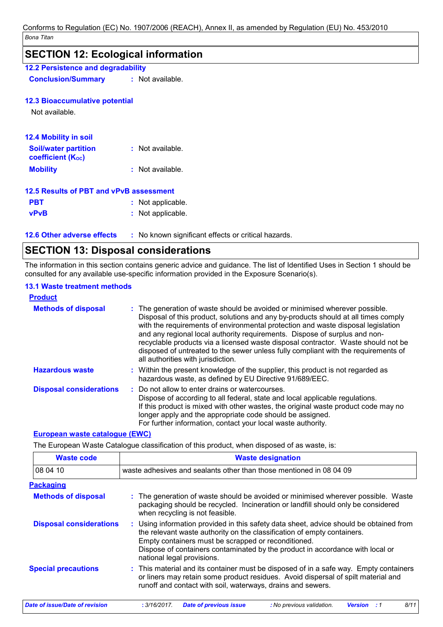# **SECTION 12: Ecological information** 12.2 Persistence and degradability : Not available. **Conclusion/Summary 12.3 Bioaccumulative potential** Not available. 12.4 Mobility in soil **Soil/water partition** : Not available. **coefficient (Koc) Mobility** : Not available. 12.5 Results of PBT and vPvB assessment **PBT** : Not applicable. **vPvB** : Not applicable.

12.6 Other adverse effects : No known significant effects or critical hazards.

# **SECTION 13: Disposal considerations**

The information in this section contains generic advice and guidance. The list of Identified Uses in Section 1 should be consulted for any available use-specific information provided in the Exposure Scenario(s).

#### **13.1 Waste treatment methods**

| <u>Product</u>                 |                                                                                                                                                                                                                                                                                                                                                                                                                                                                                                                                                      |
|--------------------------------|------------------------------------------------------------------------------------------------------------------------------------------------------------------------------------------------------------------------------------------------------------------------------------------------------------------------------------------------------------------------------------------------------------------------------------------------------------------------------------------------------------------------------------------------------|
| <b>Methods of disposal</b>     | : The generation of waste should be avoided or minimised wherever possible.<br>Disposal of this product, solutions and any by-products should at all times comply<br>with the requirements of environmental protection and waste disposal legislation<br>and any regional local authority requirements. Dispose of surplus and non-<br>recyclable products via a licensed waste disposal contractor. Waste should not be<br>disposed of untreated to the sewer unless fully compliant with the requirements of<br>all authorities with jurisdiction. |
| <b>Hazardous waste</b>         | : Within the present knowledge of the supplier, this product is not regarded as<br>hazardous waste, as defined by EU Directive 91/689/EEC.                                                                                                                                                                                                                                                                                                                                                                                                           |
| <b>Disposal considerations</b> | : Do not allow to enter drains or watercourses.<br>Dispose of according to all federal, state and local applicable regulations.<br>If this product is mixed with other wastes, the original waste product code may no<br>longer apply and the appropriate code should be assigned.<br>For further information, contact your local waste authority.                                                                                                                                                                                                   |

#### **European waste catalogue (EWC)**

The European Waste Catalogue classification of this product, when disposed of as waste, is:

| <b>Waste code</b>              | <b>Waste designation</b>                                                                                                                                                                                                                                                                                                                |
|--------------------------------|-----------------------------------------------------------------------------------------------------------------------------------------------------------------------------------------------------------------------------------------------------------------------------------------------------------------------------------------|
| 08 04 10                       | waste adhesives and sealants other than those mentioned in 08 04 09                                                                                                                                                                                                                                                                     |
| <b>Packaging</b>               |                                                                                                                                                                                                                                                                                                                                         |
| <b>Methods of disposal</b>     | : The generation of waste should be avoided or minimised wherever possible. Waste<br>packaging should be recycled. Incineration or landfill should only be considered<br>when recycling is not feasible.                                                                                                                                |
| <b>Disposal considerations</b> | : Using information provided in this safety data sheet, advice should be obtained from<br>the relevant waste authority on the classification of empty containers.<br>Empty containers must be scrapped or reconditioned.<br>Dispose of containers contaminated by the product in accordance with local or<br>national legal provisions. |
| <b>Special precautions</b>     | : This material and its container must be disposed of in a safe way. Empty containers<br>or liners may retain some product residues. Avoid dispersal of spilt material and<br>runoff and contact with soil, waterways, drains and sewers.                                                                                               |
| Date of issue/Date of revision | 8/11<br><b>Date of previous issue</b><br>: 3/16/2017.<br>: No previous validation.<br><b>Version</b><br>: 1                                                                                                                                                                                                                             |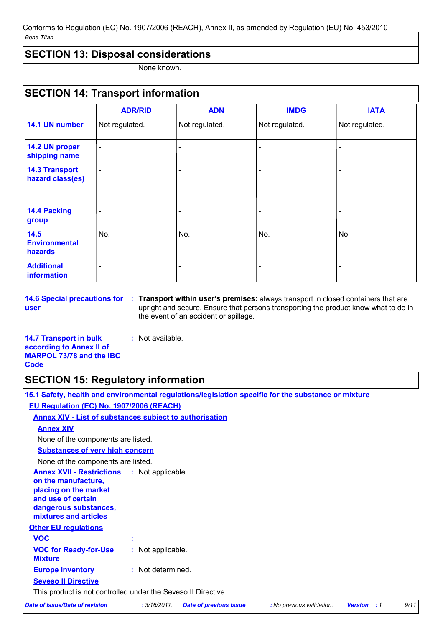Conforms to Regulation (EC) No. 1907/2006 (REACH), Annex II, as amended by Regulation (EU) No. 453/2010 \_<br>Bona Titan

# **SECTION 13: Disposal considerations**

None known.

#### **SECTION 14: Transport information ADN IMDG IATA ADR/RID** 14.1 UN number Not regulated. Not regulated. Not regulated. Not regulated. 14.2 UN proper shipping name **14.3 Transport** hazard class(es) 14.4 Packing group  $14.5$ No. No. No. No. **Environmental** hazards **Additional** information

user

14.6 Special precautions for : Transport within user's premises: always transport in closed containers that are upright and secure. Ensure that persons transporting the product know what to do in the event of an accident or spillage.

**14.7 Transport in bulk** : Not available. according to Annex II of **MARPOL 73/78 and the IBC Code** 

# **SECTION 15: Regulatory information**

| 15.1 Safety, health and environmental regulations/legislation specific for the substance or mixture                                                                        |
|----------------------------------------------------------------------------------------------------------------------------------------------------------------------------|
| <b>EU Regulation (EC) No. 1907/2006 (REACH)</b>                                                                                                                            |
| <b>Annex XIV - List of substances subject to authorisation</b>                                                                                                             |
| <b>Annex XIV</b>                                                                                                                                                           |
| None of the components are listed.                                                                                                                                         |
| <b>Substances of very high concern</b>                                                                                                                                     |
| None of the components are listed.                                                                                                                                         |
| <b>Annex XVII - Restrictions : Not applicable.</b><br>on the manufacture,<br>placing on the market<br>and use of certain<br>dangerous substances,<br>mixtures and articles |
| <b>Other EU regulations</b>                                                                                                                                                |
| <b>VOC</b>                                                                                                                                                                 |
| <b>VOC for Ready-for-Use</b><br>: Not applicable.<br><b>Mixture</b>                                                                                                        |
| : Not determined.<br><b>Europe inventory</b>                                                                                                                               |
| <b>Seveso II Directive</b>                                                                                                                                                 |
| This product is not controlled under the Seveso II Directive.                                                                                                              |

**Date of issue/Date of revision** 

: 3/16/2017. **Date of previous issue**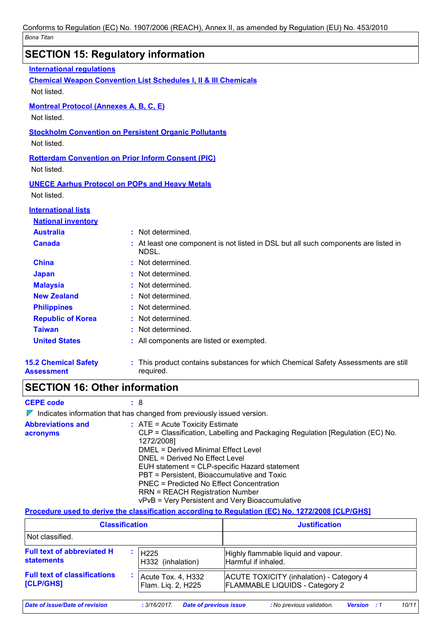|                                                  | <b>SECTION 15: Regulatory information</b>                                                       |
|--------------------------------------------------|-------------------------------------------------------------------------------------------------|
| <b>International regulations</b>                 |                                                                                                 |
|                                                  | <b>Chemical Weapon Convention List Schedules I, II &amp; III Chemicals</b>                      |
| Not listed.                                      |                                                                                                 |
| <b>Montreal Protocol (Annexes A, B, C, E)</b>    |                                                                                                 |
| Not listed.                                      |                                                                                                 |
|                                                  | <b>Stockholm Convention on Persistent Organic Pollutants</b>                                    |
| Not listed.                                      |                                                                                                 |
|                                                  |                                                                                                 |
| Not listed.                                      | <b>Rotterdam Convention on Prior Inform Consent (PIC)</b>                                       |
|                                                  |                                                                                                 |
|                                                  | <b>UNECE Aarhus Protocol on POPs and Heavy Metals</b>                                           |
| Not listed.                                      |                                                                                                 |
| <b>International lists</b>                       |                                                                                                 |
| <b>National inventory</b>                        |                                                                                                 |
| <b>Australia</b>                                 | : Not determined.                                                                               |
| <b>Canada</b>                                    | : At least one component is not listed in DSL but all such components are listed in<br>NDSL.    |
| <b>China</b>                                     | : Not determined.                                                                               |
| <b>Japan</b>                                     | Not determined.                                                                                 |
| <b>Malaysia</b>                                  | Not determined.                                                                                 |
| <b>New Zealand</b>                               | : Not determined.                                                                               |
| <b>Philippines</b>                               | : Not determined.                                                                               |
| <b>Republic of Korea</b>                         | : Not determined.                                                                               |
| <b>Taiwan</b>                                    | Not determined.                                                                                 |
| <b>United States</b>                             | : All components are listed or exempted.                                                        |
| <b>15.2 Chemical Safety</b><br><b>Assessment</b> | : This product contains substances for which Chemical Safety Assessments are still<br>required. |
| <b>SECTION 16: Other information</b>             |                                                                                                 |

**CEPE code** 

 $: 8$ 

 $\nabla$  Indicates information that has changed from previously issued version.

| <b>Abbreviations and</b><br>acronyms | $\therefore$ ATE = Acute Toxicity Estimate<br>CLP = Classification, Labelling and Packaging Regulation [Regulation (EC) No.<br>1272/2008] |
|--------------------------------------|-------------------------------------------------------------------------------------------------------------------------------------------|
|                                      | DMEL = Derived Minimal Effect Level                                                                                                       |
|                                      | DNEL = Derived No Effect Level                                                                                                            |
|                                      | EUH statement = CLP-specific Hazard statement                                                                                             |
|                                      | PBT = Persistent, Bioaccumulative and Toxic                                                                                               |
|                                      | <b>PNEC = Predicted No Effect Concentration</b>                                                                                           |
|                                      | <b>RRN = REACH Registration Number</b>                                                                                                    |
|                                      | vPvB = Very Persistent and Very Bioaccumulative                                                                                           |

#### Procedure used to derive the classification according to Regulation (EC) No. 1272/2008 [CLP/GHS]

| <b>Classification</b>               |                    | <b>Justification</b>                            |
|-------------------------------------|--------------------|-------------------------------------------------|
| Not classified.                     |                    |                                                 |
| <b>Full text of abbreviated H</b>   | H <sub>225</sub>   | Highly flammable liquid and vapour.             |
| <b>statements</b>                   | H332 (inhalation)  | Harmful if inhaled.                             |
| <b>Full text of classifications</b> | Acute Tox. 4, H332 | <b>ACUTE TOXICITY (inhalation) - Category 4</b> |
| <b>[CLP/GHS]</b>                    | Flam. Lig. 2, H225 | <b>FLAMMABLE LIQUIDS - Category 2</b>           |